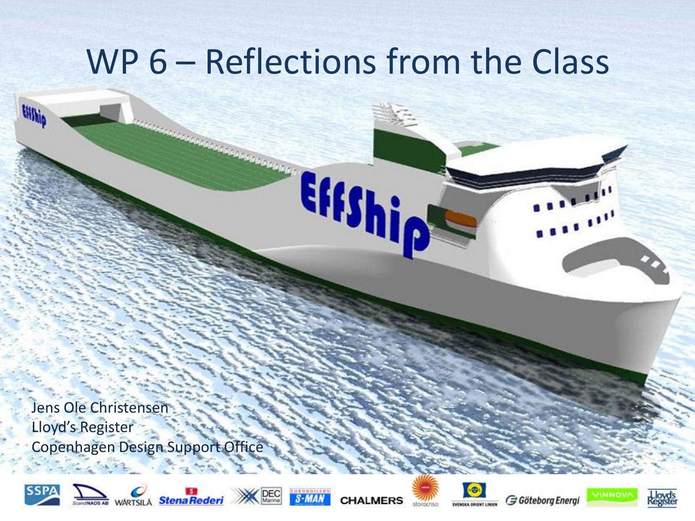Effship

Jens Ole Christensen Lloyd's Register Copenhagen Design Support Office

 $-22$ 



tin.















 $\mathcal{L} = \{f_1, f_2, f_3, f_4, f_5, f_6, f_7, f_8, f_9, f_{100}\}$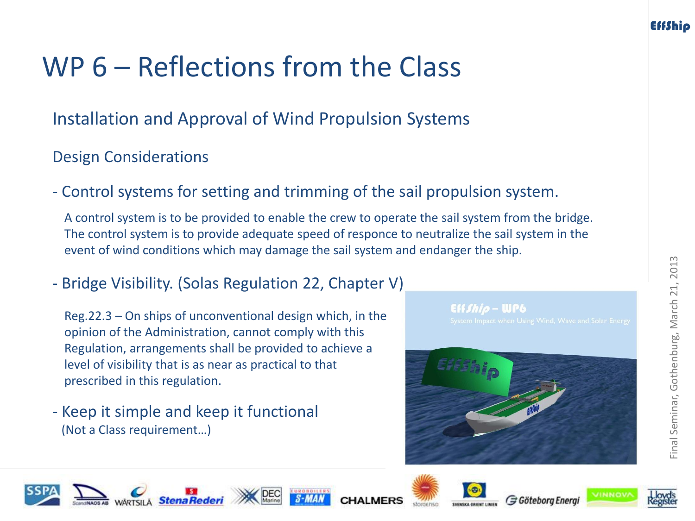Installation and Approval of Wind Propulsion Systems

#### Design Considerations

- Control systems for setting and trimming of the sail propulsion system.

A control system is to be provided to enable the crew to operate the sail system from the bridge. The control system is to provide adequate speed of responce to neutralize the sail system in the event of wind conditions which may damage the sail system and endanger the ship.

- Bridge Visibility. (Solas Regulation 22, Chapter V)

Reg.22.3 – On ships of unconventional design which, in the opinion of the Administration, cannot comply with this Regulation, arrangements shall be provided to achieve a level of visibility that is as near as practical to that prescribed in this regulation.

- Keep it simple and keep it functional (Not a Class requirement…)

 $Eff$  *Shio* -  $UPb$ 









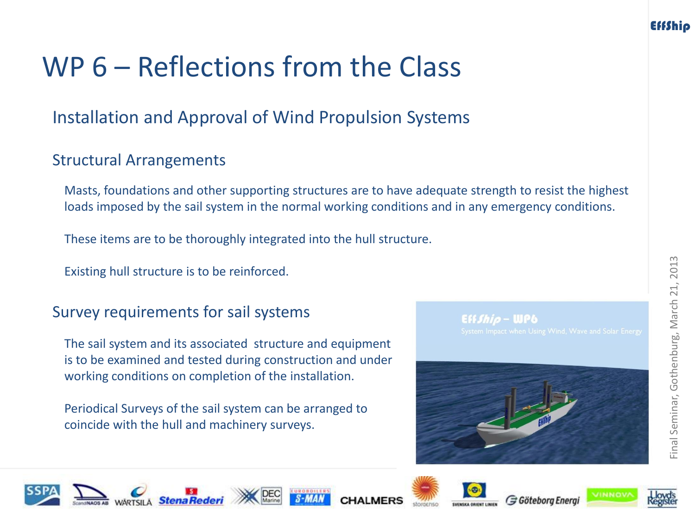### Installation and Approval of Wind Propulsion Systems

#### Structural Arrangements

Masts, foundations and other supporting structures are to have adequate strength to resist the highest loads imposed by the sail system in the normal working conditions and in any emergency conditions.

These items are to be thoroughly integrated into the hull structure.

Existing hull structure is to be reinforced.

#### Survey requirements for sail systems

The sail system and its associated structure and equipment is to be examined and tested during construction and under working conditions on completion of the installation.

Periodical Surveys of the sail system can be arranged to coincide with the hull and machinery surveys.

Eff*fhia* — WPA

















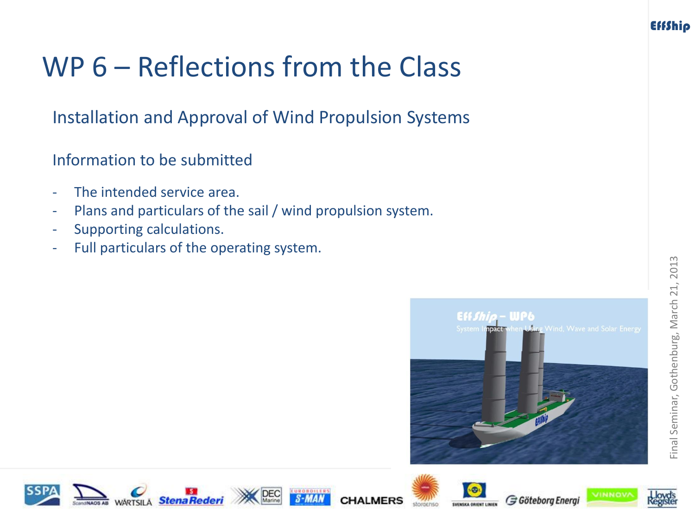Installation and Approval of Wind Propulsion Systems

Information to be submitted

- The intended service area.
- Plans and particulars of the sail / wind propulsion system.
- Supporting calculations.
- Full particulars of the operating system.













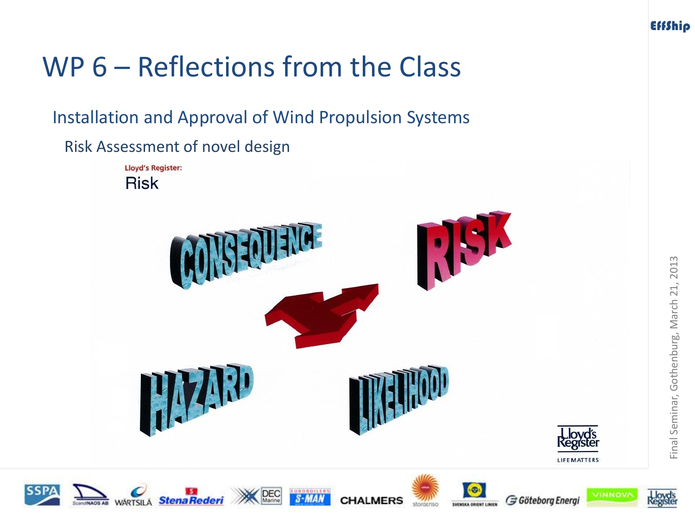

Installation and Approval of Wind Propulsion Systems

Risk Assessment of novel design















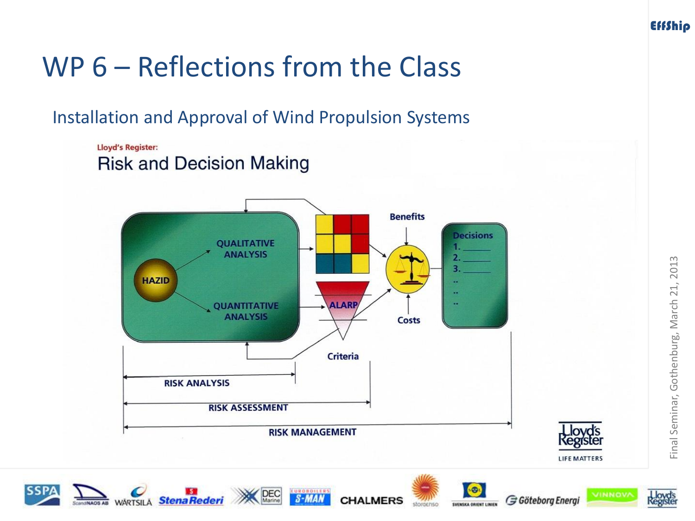Installation and Approval of Wind Propulsion Systems